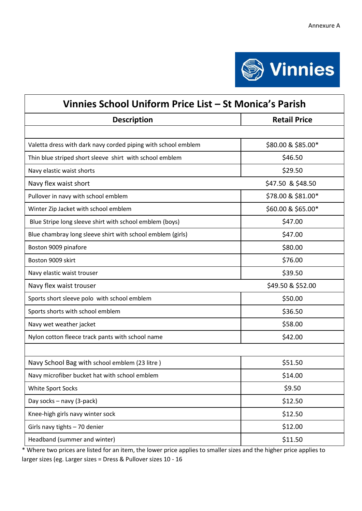

| Vinnies School Uniform Price List - St Monica's Parish        |                     |
|---------------------------------------------------------------|---------------------|
| <b>Description</b>                                            | <b>Retail Price</b> |
|                                                               |                     |
| Valetta dress with dark navy corded piping with school emblem | \$80.00 & \$85.00*  |
| Thin blue striped short sleeve shirt with school emblem       | \$46.50             |
| Navy elastic waist shorts                                     | \$29.50             |
| Navy flex waist short                                         | \$47.50 & \$48.50   |
| Pullover in navy with school emblem                           | \$78.00 & \$81.00*  |
| Winter Zip Jacket with school emblem                          | \$60.00 & \$65.00*  |
| Blue Stripe long sleeve shirt with school emblem (boys)       | \$47.00             |
| Blue chambray long sleeve shirt with school emblem (girls)    | \$47.00             |
| Boston 9009 pinafore                                          | \$80.00             |
| Boston 9009 skirt                                             | \$76.00             |
| Navy elastic waist trouser                                    | \$39.50             |
| Navy flex waist trouser                                       | \$49.50 & \$52.00   |
| Sports short sleeve polo with school emblem                   | \$50.00             |
| Sports shorts with school emblem                              | \$36.50             |
| Navy wet weather jacket                                       | \$58.00             |
| Nylon cotton fleece track pants with school name              | \$42.00             |
|                                                               |                     |
| Navy School Bag with school emblem (23 litre)                 | \$51.50             |
| Navy microfiber bucket hat with school emblem                 | \$14.00             |
| White Sport Socks                                             | \$9.50              |
| Day socks - navy (3-pack)                                     | \$12.50             |
| Knee-high girls navy winter sock                              | \$12.50             |
| Girls navy tights - 70 denier                                 | \$12.00             |
| Headband (summer and winter)                                  | \$11.50             |

\* Where two prices are listed for an item, the lower price applies to smaller sizes and the higher price applies to larger sizes (eg. Larger sizes = Dress & Pullover sizes 10 - 16